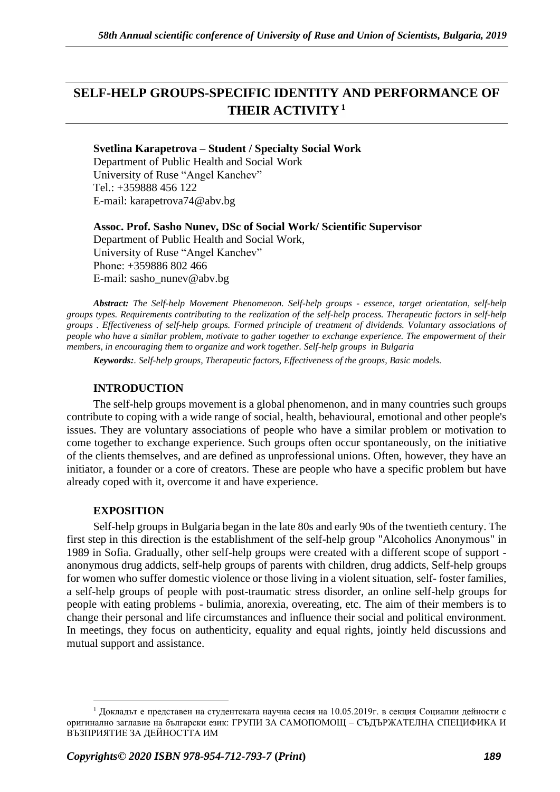# **SELF-HELP GROUPS-SPECIFIC IDENTITY AND PERFORMANCE OF THEIR ACTIVITY <sup>1</sup>**

## **Svetlina Karapetrova – Student / Specialty Social Work**

Department of Public Health and Social Work University of Ruse "Angel Kanchev" Tel.: +359888 456 122 E-mail: karapetrova74@abv.bg

**Assoc. Prof. Sasho Nunev, DSc of Social Work/ Scientific Supervisor** Department of Public Health and Social Work, University of Ruse "Angel Kanchev" Рhone: +359886 802 466 Е-mail: sasho\_nunev@abv.bg

*Abstract: The Self-help Movement Phenomenon. Self-help groups - essence, target orientation, self-help groups types. Requirements contributing to the realization of the self-help process. Therapeutic factors in self-help groups . Effectiveness of self-help groups. Formed principle of treatment of dividends. Voluntary associations of people who have a similar problem, motivate to gather together to exchange experience. The empowerment of their members, in encouraging them to organize and work together. Self-help groups in Bulgaria*

*Keywords:. Self-help groups, Therapeutic factors, Effectiveness of the groups, Basic models.*

# **INTRODUCTION**

The self-help groups movement is a global phenomenon, and in many countries such groups contribute to coping with a wide range of social, health, behavioural, emotional and other people's issues. They are voluntary associations of people who have a similar problem or motivation to come together to exchange experience. Such groups often occur spontaneously, on the initiative of the clients themselves, and are defined as unprofessional unions. Often, however, they have an initiator, a founder or a core of creators. These are people who have a specific problem but have already coped with it, overcome it and have experience.

# **EXPOSITION**

Self-help groups in Bulgaria began in the late 80s and early 90s of the twentieth century. The first step in this direction is the establishment of the self-help group "Alcoholics Anonymous" in 1989 in Sofia. Gradually, other self-help groups were created with a different scope of support anonymous drug addicts, self-help groups of parents with children, drug addicts, Self-help groups for women who suffer domestic violence or those living in a violent situation, self- foster families, a self-help groups of people with post-traumatic stress disorder, an online self-help groups for people with eating problems - bulimia, anorexia, overeating, etc. The aim of their members is to change their personal and life circumstances and influence their social and political environment. In meetings, they focus on authenticity, equality and equal rights, jointly held discussions and mutual support and assistance.

<sup>&</sup>lt;sup>1</sup> Докладът е представен на студентската научна сесия на 10.05.2019г. в секция Социални дейности с оригинално заглавие на български език: ГРУПИ ЗА САМОПОМОЩ – СЪДЪРЖАТЕЛНА СПЕЦИФИКА И ВЪЗПРИЯТИЕ ЗА ДЕЙНОСТТА ИМ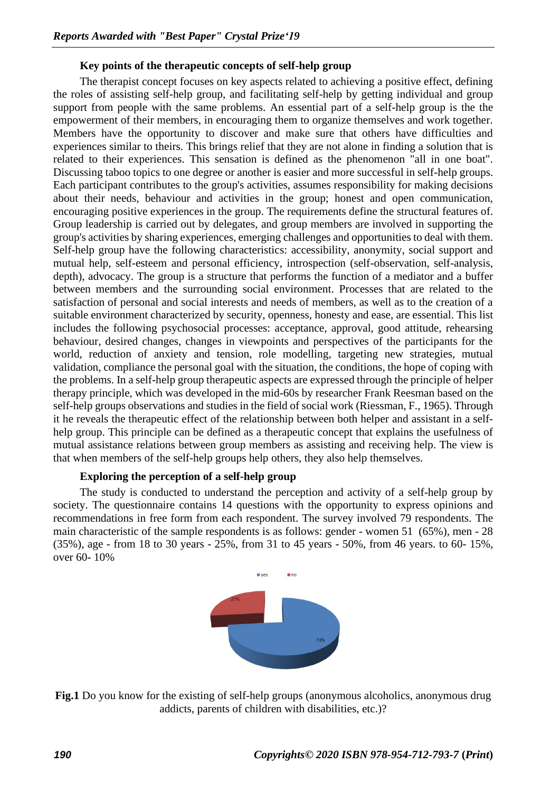## **Key points of the therapeutic concepts of self-help group**

The therapist concept focuses on key aspects related to achieving a positive effect, defining the roles of assisting self-help group, and facilitating self-help by getting individual and group support from people with the same problems. An essential part of a self-help group is the the empowerment of their members, in encouraging them to organize themselves and work together. Members have the opportunity to discover and make sure that others have difficulties and experiences similar to theirs. This brings relief that they are not alone in finding a solution that is related to their experiences. This sensation is defined as the phenomenon "all in one boat". Discussing taboo topics to one degree or another is easier and more successful in self-help groups. Each participant contributes to the group's activities, assumes responsibility for making decisions about their needs, behaviour and activities in the group; honest and open communication, encouraging positive experiences in the group. The requirements define the structural features of. Group leadership is carried out by delegates, and group members are involved in supporting the group's activities by sharing experiences, emerging challenges and opportunities to deal with them. Self-help group have the following characteristics: accessibility, anonymity, social support and mutual help, self-esteem and personal efficiency, introspection (self-observation, self-analysis, depth), advocacy. The group is a structure that performs the function of a mediator and a buffer between members and the surrounding social environment. Processes that are related to the satisfaction of personal and social interests and needs of members, as well as to the creation of a suitable environment characterized by security, openness, honesty and ease, are essential. This list includes the following psychosocial processes: acceptance, approval, good attitude, rehearsing behaviour, desired changes, changes in viewpoints and perspectives of the participants for the world, reduction of anxiety and tension, role modelling, targeting new strategies, mutual validation, compliance the personal goal with the situation, the conditions, the hope of coping with the problems. In a self-help group therapeutic aspects are expressed through the principle of helper therapy principle, which was developed in the mid-60s by researcher Frank Reesman based on the self-help groups observations and studies in the field of social work (Riessman, F., 1965). Through it he reveals the therapeutic effect of the relationship between both helper and assistant in a selfhelp group. This principle can be defined as a therapeutic concept that explains the usefulness of mutual assistance relations between group members as assisting and receiving help. The view is that when members of the self-help groups help others, they also help themselves.

## **Exploring the perception of a self-help group**

The study is conducted to understand the perception and activity of a self-help group by society. The questionnaire contains 14 questions with the opportunity to express opinions and recommendations in free form from each respondent. The survey involved 79 respondents. The main characteristic of the sample respondents is as follows: gender - women 51 (65%), men - 28 (35%), age - from 18 to 30 years - 25%, from 31 to 45 years - 50%, from 46 years. to 60- 15%, over 60- 10%



**Fig.1** Do you know for the existing of self-help groups (anonymous alcoholics, anonymous drug addicts, parents of children with disabilities, etc.)?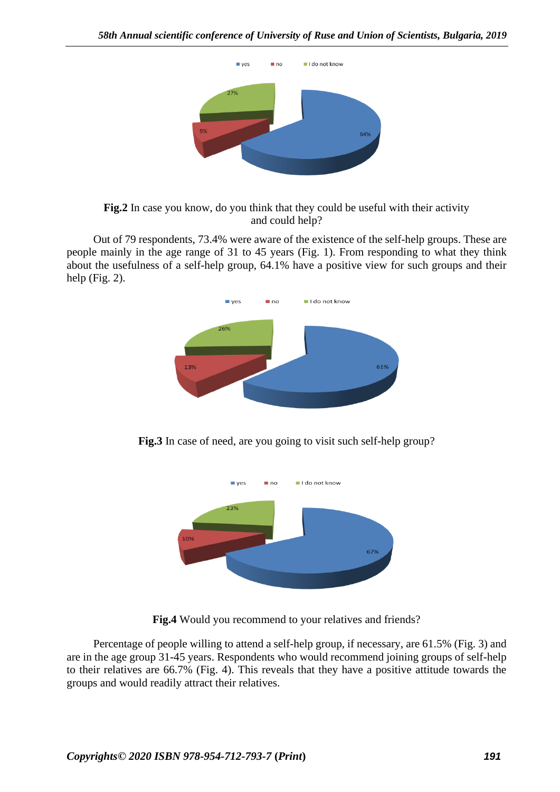

**Fig.2** In case you know, do you think that they could be useful with their activity and could help?

Out of 79 respondents, 73.4% were aware of the existence of the self-help groups. These are people mainly in the age range of 31 to 45 years (Fig. 1). From responding to what they think about the usefulness of a self-help group, 64.1% have a positive view for such groups and their help (Fig. 2).



**Fig.3** In case of need, are you going to visit such self-help group?



**Fig.4** Would you recommend to your relatives and friends?

Percentage of people willing to attend a self-help group, if necessary, are 61.5% (Fig. 3) and are in the age group 31-45 years. Respondents who would recommend joining groups of self-help to their relatives are 66.7% (Fig. 4). This reveals that they have a positive attitude towards the groups and would readily attract their relatives.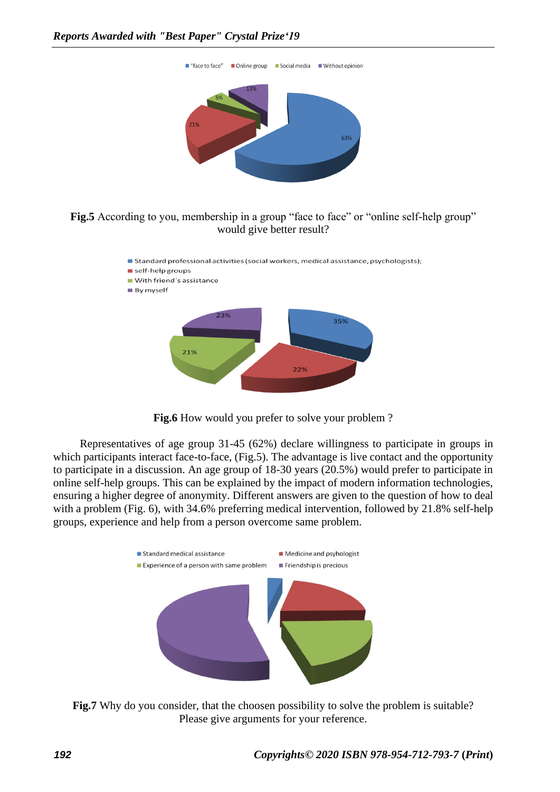

# Fig.5 According to you, membership in a group "face to face" or "online self-help group" would give better result?





Representatives of age group 31-45 (62%) declare willingness to participate in groups in which participants interact face-to-face, (Fig.5). The advantage is live contact and the opportunity to participate in a discussion. An age group of 18-30 years (20.5%) would prefer to participate in online self-help groups. This can be explained by the impact of modern information technologies, ensuring a higher degree of anonymity. Different answers are given to the question of how to deal with a problem (Fig. 6), with 34.6% preferring medical intervention, followed by 21.8% self-help groups, experience and help from a person overcome same problem.



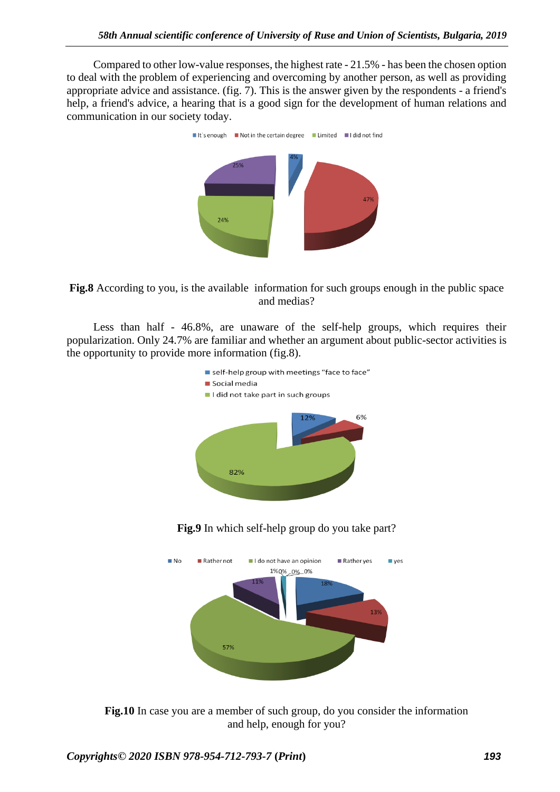Compared to other low-value responses, the highest rate - 21.5% - has been the chosen option to deal with the problem of experiencing and overcoming by another person, as well as providing appropriate advice and assistance. (fig. 7). This is the answer given by the respondents - a friend's help, a friend's advice, a hearing that is a good sign for the development of human relations and communication in our society today.





Less than half - 46.8%, are unaware of the self-help groups, which requires their popularization. Only 24.7% are familiar and whether an argument about public-sector activities is the opportunity to provide more information (fig.8).







**Fig.10** In case you are a member of such group, do you consider the information and help, enough for you?

*Copyrights© 2020 ISBN 978-954-712-793-7* **(***Print***)** *193*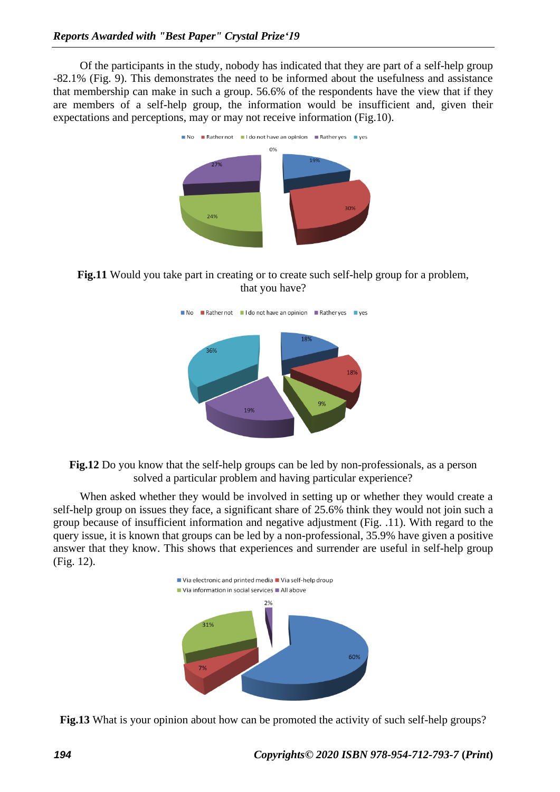Of the participants in the study, nobody has indicated that they are part of a self-help group -82.1% (Fig. 9). This demonstrates the need to be informed about the usefulness and assistance that membership can make in such a group. 56.6% of the respondents have the view that if they are members of a self-help group, the information would be insufficient and, given their expectations and perceptions, may or may not receive information (Fig.10).



**Fig.11** Would you take part in creating or to create such self-help group for a problem, that you have?





When asked whether they would be involved in setting up or whether they would create a self-help group on issues they face, a significant share of 25.6% think they would not join such a group because of insufficient information and negative adjustment (Fig. .11). With regard to the query issue, it is known that groups can be led by a non-professional, 35.9% have given a positive answer that they know. This shows that experiences and surrender are useful in self-help group (Fig. 12).



**Fig.13** What is your opinion about how can be promoted the activity of such self-help groups?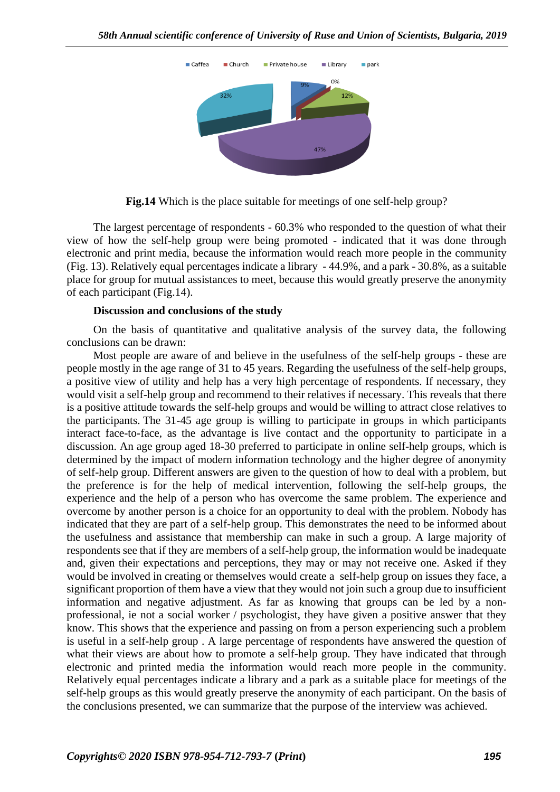

**Fig.14** Which is the place suitable for meetings of one self-help group?

The largest percentage of respondents - 60.3% who responded to the question of what their view of how the self-help group were being promoted - indicated that it was done through electronic and print media, because the information would reach more people in the community (Fig. 13). Relatively equal percentages indicate a library - 44.9%, and a park - 30.8%, as a suitable place for group for mutual assistances to meet, because this would greatly preserve the anonymity of each participant (Fig.14).

### **Discussion and conclusions of the study**

On the basis of quantitative and qualitative analysis of the survey data, the following conclusions can be drawn:

Most people are aware of and believe in the usefulness of the self-help groups - these are people mostly in the age range of 31 to 45 years. Regarding the usefulness of the self-help groups, a positive view of utility and help has a very high percentage of respondents. If necessary, they would visit a self-help group and recommend to their relatives if necessary. This reveals that there is a positive attitude towards the self-help groups and would be willing to attract close relatives to the participants. The 31-45 age group is willing to participate in groups in which participants interact face-to-face, as the advantage is live contact and the opportunity to participate in a discussion. An age group aged 18-30 preferred to participate in online self-help groups, which is determined by the impact of modern information technology and the higher degree of anonymity of self-help group. Different answers are given to the question of how to deal with a problem, but the preference is for the help of medical intervention, following the self-help groups, the experience and the help of a person who has overcome the same problem. The experience and overcome by another person is a choice for an opportunity to deal with the problem. Nobody has indicated that they are part of a self-help group. This demonstrates the need to be informed about the usefulness and assistance that membership can make in such a group. A large majority of respondents see that if they are members of a self-help group, the information would be inadequate and, given their expectations and perceptions, they may or may not receive one. Asked if they would be involved in creating or themselves would create a self-help group on issues they face, a significant proportion of them have a view that they would not join such a group due to insufficient information and negative adjustment. As far as knowing that groups can be led by a nonprofessional, ie not a social worker / psychologist, they have given a positive answer that they know. This shows that the experience and passing on from a person experiencing such a problem is useful in a self-help group . A large percentage of respondents have answered the question of what their views are about how to promote a self-help group. They have indicated that through electronic and printed media the information would reach more people in the community. Relatively equal percentages indicate a library and a park as a suitable place for meetings of the self-help groups as this would greatly preserve the anonymity of each participant. On the basis of the conclusions presented, we can summarize that the purpose of the interview was achieved.